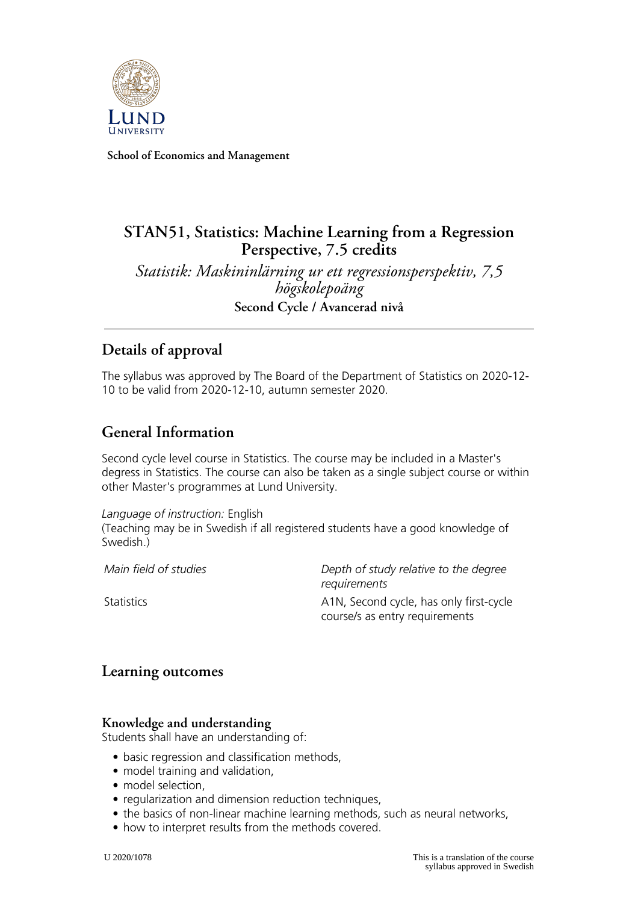

**School of Economics and Management**

# **STAN51, Statistics: Machine Learning from a Regression Perspective, 7.5 credits**

*Statistik: Maskininlärning ur ett regressionsperspektiv, 7,5 högskolepoäng* **Second Cycle / Avancerad nivå**

# **Details of approval**

The syllabus was approved by The Board of the Department of Statistics on 2020-12- 10 to be valid from 2020-12-10, autumn semester 2020.

# **General Information**

Second cycle level course in Statistics. The course may be included in a Master's degress in Statistics. The course can also be taken as a single subject course or within other Master's programmes at Lund University.

*Language of instruction:* English (Teaching may be in Swedish if all registered students have a good knowledge of Swedish.)

*Main field of studies Depth of study relative to the degree requirements* Statistics **A1N, Second cycle, has only first-cycle** course/s as entry requirements

### **Learning outcomes**

#### **Knowledge and understanding**

Students shall have an understanding of:

- basic regression and classification methods,
- model training and validation,
- model selection,
- regularization and dimension reduction techniques,
- the basics of non-linear machine learning methods, such as neural networks,
- how to interpret results from the methods covered.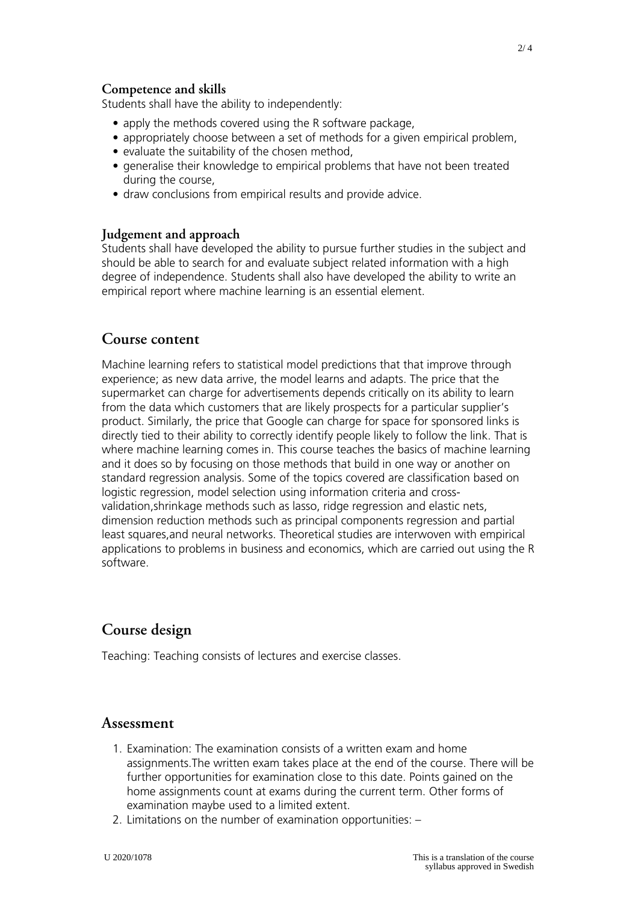#### **Competence and skills**

Students shall have the ability to independently:

- apply the methods covered using the R software package,
- appropriately choose between a set of methods for a given empirical problem,
- evaluate the suitability of the chosen method,
- generalise their knowledge to empirical problems that have not been treated during the course,
- draw conclusions from empirical results and provide advice.

#### **Judgement and approach**

Students shall have developed the ability to pursue further studies in the subject and should be able to search for and evaluate subject related information with a high degree of independence. Students shall also have developed the ability to write an empirical report where machine learning is an essential element.

### **Course content**

Machine learning refers to statistical model predictions that that improve through experience; as new data arrive, the model learns and adapts. The price that the supermarket can charge for advertisements depends critically on its ability to learn from the data which customers that are likely prospects for a particular supplier's product. Similarly, the price that Google can charge for space for sponsored links is directly tied to their ability to correctly identify people likely to follow the link. That is where machine learning comes in. This course teaches the basics of machine learning and it does so by focusing on those methods that build in one way or another on standard regression analysis. Some of the topics covered are classification based on logistic regression, model selection using information criteria and crossvalidation,shrinkage methods such as lasso, ridge regression and elastic nets, dimension reduction methods such as principal components regression and partial least squares,and neural networks. Theoretical studies are interwoven with empirical applications to problems in business and economics, which are carried out using the R software.

### **Course design**

Teaching: Teaching consists of lectures and exercise classes.

#### **Assessment**

- 1. Examination: The examination consists of a written exam and home assignments.The written exam takes place at the end of the course. There will be further opportunities for examination close to this date. Points gained on the home assignments count at exams during the current term. Other forms of examination maybe used to a limited extent.
- 2. Limitations on the number of examination opportunities: –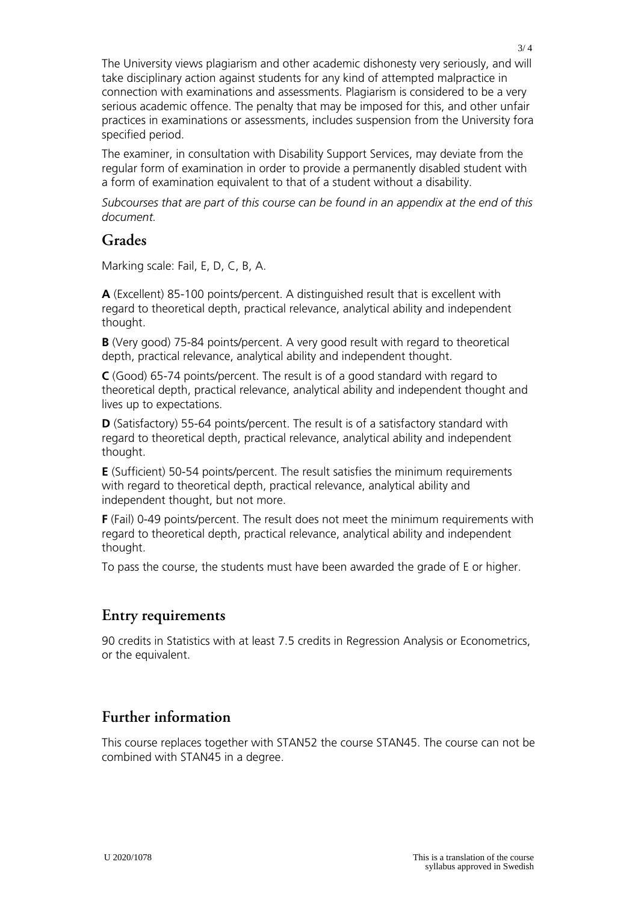The University views plagiarism and other academic dishonesty very seriously, and will take disciplinary action against students for any kind of attempted malpractice in connection with examinations and assessments. Plagiarism is considered to be a very serious academic offence. The penalty that may be imposed for this, and other unfair practices in examinations or assessments, includes suspension from the University fora specified period.

The examiner, in consultation with Disability Support Services, may deviate from the regular form of examination in order to provide a permanently disabled student with a form of examination equivalent to that of a student without a disability.

*Subcourses that are part of this course can be found in an appendix at the end of this document.*

#### **Grades**

Marking scale: Fail, E, D, C, B, A.

**A** (Excellent) 85-100 points/percent. A distinguished result that is excellent with regard to theoretical depth, practical relevance, analytical ability and independent thought.

**B** (Very good) 75-84 points/percent. A very good result with regard to theoretical depth, practical relevance, analytical ability and independent thought.

**C** (Good) 65-74 points/percent. The result is of a good standard with regard to theoretical depth, practical relevance, analytical ability and independent thought and lives up to expectations.

**D** (Satisfactory) 55-64 points/percent. The result is of a satisfactory standard with regard to theoretical depth, practical relevance, analytical ability and independent thought.

**E** (Sufficient) 50-54 points/percent. The result satisfies the minimum requirements with regard to theoretical depth, practical relevance, analytical ability and independent thought, but not more.

**F** (Fail) 0-49 points/percent. The result does not meet the minimum requirements with regard to theoretical depth, practical relevance, analytical ability and independent thought.

To pass the course, the students must have been awarded the grade of E or higher.

### **Entry requirements**

90 credits in Statistics with at least 7.5 credits in Regression Analysis or Econometrics, or the equivalent.

## **Further information**

This course replaces together with STAN52 the course STAN45. The course can not be combined with STAN45 in a degree.